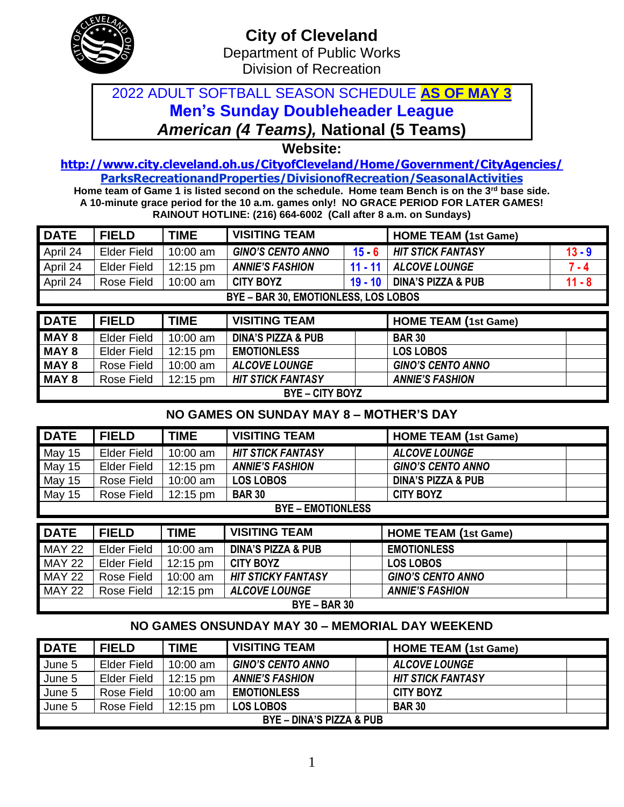

## 2022 ADULT SOFTBALL SEASON SCHEDULE **AS OF MAY 3 Men's Sunday Doubleheader League** *American (4 Teams),* **National (5 Teams)**

**Website:** 

**<http://www.city.cleveland.oh.us/CityofCleveland/Home/Government/CityAgencies/> ParksRecreationandProperties/DivisionofRecreation/SeasonalActivities**

**Home team of Game 1 is listed second on the schedule. Home team Bench is on the 3rd base side. A 10-minute grace period for the 10 a.m. games only! NO GRACE PERIOD FOR LATER GAMES! RAINOUT HOTLINE: (216) 664-6002 (Call after 8 a.m. on Sundays)**

| <b>DATE</b> | <b>FIELD</b>                         | <b>TIME</b>        | <b>VISITING TEAM</b>          |           | <b>HOME TEAM (1st Game)</b>   |          |  |  |  |
|-------------|--------------------------------------|--------------------|-------------------------------|-----------|-------------------------------|----------|--|--|--|
| April 24    | <b>Elder Field</b>                   | $10:00$ am         | <b>GINO'S CENTO ANNO</b>      | $15 - 6$  | <b>HIT STICK FANTASY</b>      | $13 - 9$ |  |  |  |
| April 24    | <b>Elder Field</b>                   | $12:15 \text{ pm}$ | <b>ANNIE'S FASHION</b>        | $11 - 11$ | <b>ALCOVE LOUNGE</b>          | $7 - 4$  |  |  |  |
| April 24    | Rose Field                           | $10:00$ am         | <b>CITY BOYZ</b><br>$19 - 10$ |           | <b>DINA'S PIZZA &amp; PUB</b> | $11 - 8$ |  |  |  |
|             | BYE - BAR 30, EMOTIONLESS, LOS LOBOS |                    |                               |           |                               |          |  |  |  |
|             |                                      |                    |                               |           |                               |          |  |  |  |
| IDATE       | EIEI D                               | <b>TIME</b>        | <b>VISITING TEAM</b>          |           | <b>HOME TEAM (1st Came)</b>   |          |  |  |  |

| <b>DATE</b>            | <b>FIELD</b>       | <b>TIME</b>        | <b>VISITING TEAM</b>          | <b>HOME TEAM (1st Game)</b> |  |  |
|------------------------|--------------------|--------------------|-------------------------------|-----------------------------|--|--|
| <b>MAY 8</b>           | <b>Elder Field</b> | 10:00 am           | <b>DINA'S PIZZA &amp; PUB</b> | <b>BAR 30</b>               |  |  |
| <b>MAY 8</b>           | <b>Elder Field</b> | $12:15 \text{ pm}$ | <b>EMOTIONLESS</b>            | <b>LOS LOBOS</b>            |  |  |
| MAY 8                  | Rose Field         | 10:00 am           | <b>ALCOVE LOUNGE</b>          | <b>GINO'S CENTO ANNO</b>    |  |  |
| MAY 8                  | Rose Field         | l 12:15 pm         | <b>HIT STICK FANTASY</b>      | <b>ANNIE'S FASHION</b>      |  |  |
| <b>BYE – CITY BOYZ</b> |                    |                    |                               |                             |  |  |

### **NO GAMES ON SUNDAY MAY 8 – MOTHER'S DAY**

| <b>DATE</b> | <b>FIELD</b>             | <b>TIME</b>        | <b>VISITING TEAM</b>     | <b>HOME TEAM (1st Game)</b>   |  |  |  |  |  |  |
|-------------|--------------------------|--------------------|--------------------------|-------------------------------|--|--|--|--|--|--|
| May 15      | <b>Elder Field</b>       | 10:00 am           | <b>HIT STICK FANTASY</b> | <b>ALCOVE LOUNGE</b>          |  |  |  |  |  |  |
| May 15      | Elder Field              | $12:15 \text{ pm}$ | <b>ANNIE'S FASHION</b>   | <b>GINO'S CENTO ANNO</b>      |  |  |  |  |  |  |
| May 15      | Rose Field               | 10:00 am           | <b>LOS LOBOS</b>         | <b>DINA'S PIZZA &amp; PUB</b> |  |  |  |  |  |  |
| May 15      | Rose Field               | $12:15 \text{ pm}$ | <b>BAR 30</b>            | <b>CITY BOYZ</b>              |  |  |  |  |  |  |
|             | <b>BYE - EMOTIONLESS</b> |                    |                          |                               |  |  |  |  |  |  |
| <b>DATE</b> | <b>FIELD</b>             | <b>TIME</b>        | <b>VISITING TEAM</b>     | <b>HOME TEAM (1st Game)</b>   |  |  |  |  |  |  |

| <b>DAIL</b>    | <b>FIELD</b>       | I IIVIE.           | VIJHINU LEAM                  | <b>HUME LEAM (1St Game)</b> |  |  |  |  |
|----------------|--------------------|--------------------|-------------------------------|-----------------------------|--|--|--|--|
| <b>MAY 22</b>  | <b>Elder Field</b> | $10:00$ am         | <b>DINA'S PIZZA &amp; PUB</b> | <b>EMOTIONLESS</b>          |  |  |  |  |
| <b>MAY 22</b>  | Elder Field        | $12:15 \text{ pm}$ | <b>CITY BOYZ</b>              | <b>LOS LOBOS</b>            |  |  |  |  |
| <b>MAY 22</b>  | Rose Field         | $10:00$ am         | <b>HIT STICKY FANTASY</b>     | <b>GINO'S CENTO ANNO</b>    |  |  |  |  |
| <b>MAY 22</b>  | Rose Field         | $12:15 \text{ pm}$ | <b>ALCOVE LOUNGE</b>          | <b>ANNIE'S FASHION</b>      |  |  |  |  |
| $BYE - BAR 30$ |                    |                    |                               |                             |  |  |  |  |

### **NO GAMES ONSUNDAY MAY 30 – MEMORIAL DAY WEEKEND**

| <b>DATE</b>                         | <b>FIELD</b>       | <b>TIME</b>        | <b>VISITING TEAM</b>     | <b>HOME TEAM (1st Game)</b> |  |  |  |
|-------------------------------------|--------------------|--------------------|--------------------------|-----------------------------|--|--|--|
| June 5                              | <b>Elder Field</b> | $10:00$ am         | <b>GINO'S CENTO ANNO</b> | <b>ALCOVE LOUNGE</b>        |  |  |  |
| June 5                              | <b>Elder Field</b> | $12:15 \text{ pm}$ | <b>ANNIE'S FASHION</b>   | <b>HIT STICK FANTASY</b>    |  |  |  |
| June 5                              | Rose Field         | $10:00$ am         | <b>EMOTIONLESS</b>       | <b>CITY BOYZ</b>            |  |  |  |
| June 5                              | Rose Field         | $12:15 \text{ pm}$ | <b>LOS LOBOS</b>         | <b>BAR 30</b>               |  |  |  |
| <b>BYE - DINA'S PIZZA &amp; PUB</b> |                    |                    |                          |                             |  |  |  |